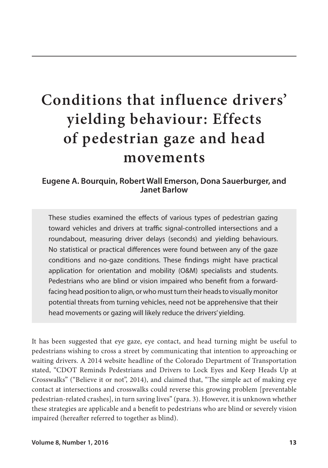# **Conditions that influence drivers' yielding behaviour: Effects of pedestrian gaze and head movements**

## **Eugene A. Bourquin, Robert Wall Emerson, Dona Sauerburger, and Janet Barlow**

These studies examined the effects of various types of pedestrian gazing toward vehicles and drivers at traffic signal-controlled intersections and a roundabout, measuring driver delays (seconds) and yielding behaviours. No statistical or practical differences were found between any of the gaze conditions and no-gaze conditions. These findings might have practical application for orientation and mobility (O&M) specialists and students. Pedestrians who are blind or vision impaired who benefit from a forwardfacing head position to align, or who must turn their heads to visually monitor potential threats from turning vehicles, need not be apprehensive that their head movements or gazing will likely reduce the drivers' yielding.

It has been suggested that eye gaze, eye contact, and head turning might be useful to pedestrians wishing to cross a street by communicating that intention to approaching or waiting drivers. A 2014 website headline of the Colorado Department of Transportation stated, "CDOT Reminds Pedestrians and Drivers to Lock Eyes and Keep Heads Up at Crosswalks" ("Believe it or not", 2014), and claimed that, "The simple act of making eye contact at intersections and crosswalks could reverse this growing problem [preventable pedestrian-related crashes], in turn saving lives" (para. 3). However, it is unknown whether these strategies are applicable and a benefit to pedestrians who are blind or severely vision impaired (hereafter referred to together as blind).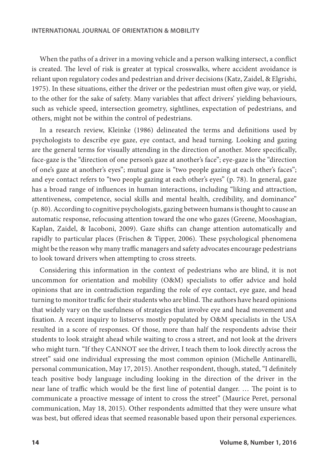When the paths of a driver in a moving vehicle and a person walking intersect, a conflict is created. The level of risk is greater at typical crosswalks, where accident avoidance is reliant upon regulatory codes and pedestrian and driver decisions (Katz, Zaidel, & Elgrishi, 1975). In these situations, either the driver or the pedestrian must often give way, or yield, to the other for the sake of safety. Many variables that affect drivers' yielding behaviours, such as vehicle speed, intersection geometry, sightlines, expectation of pedestrians, and others, might not be within the control of pedestrians.

In a research review, Kleinke (1986) delineated the terms and definitions used by psychologists to describe eye gaze, eye contact, and head turning. Looking and gazing are the general terms for visually attending in the direction of another. More specifically, face-gaze is the "direction of one person's gaze at another's face"; eye-gaze is the "direction of one's gaze at another's eyes"; mutual gaze is "two people gazing at each other's faces"; and eye contact refers to "two people gazing at each other's eyes" (p. 78). In general, gaze has a broad range of influences in human interactions, including "liking and attraction, attentiveness, competence, social skills and mental health, credibility, and dominance" (p. 80). According to cognitive psychologists, gazing between humans is thought to cause an automatic response, refocusing attention toward the one who gazes (Greene, Mooshagian, Kaplan, Zaidel, & Iacoboni, 2009). Gaze shifts can change attention automatically and rapidly to particular places (Frischen & Tipper, 2006). These psychological phenomena might be the reason why many traffic managers and safety advocates encourage pedestrians to look toward drivers when attempting to cross streets.

Considering this information in the context of pedestrians who are blind, it is not uncommon for orientation and mobility (O&M) specialists to offer advice and hold opinions that are in contradiction regarding the role of eye contact, eye gaze, and head turning to monitor traffic for their students who are blind. The authors have heard opinions that widely vary on the usefulness of strategies that involve eye and head movement and fixation. A recent inquiry to listservs mostly populated by O&M specialists in the USA resulted in a score of responses. Of those, more than half the respondents advise their students to look straight ahead while waiting to cross a street, and not look at the drivers who might turn. "If they CANNOT see the driver, I teach them to look directly across the street" said one individual expressing the most common opinion (Michelle Antinarelli, personal communication, May 17, 2015). Another respondent, though, stated, "I definitely teach positive body language including looking in the direction of the driver in the near lane of traffic which would be the first line of potential danger. … The point is to communicate a proactive message of intent to cross the street" (Maurice Peret, personal communication, May 18, 2015). Other respondents admitted that they were unsure what was best, but offered ideas that seemed reasonable based upon their personal experiences.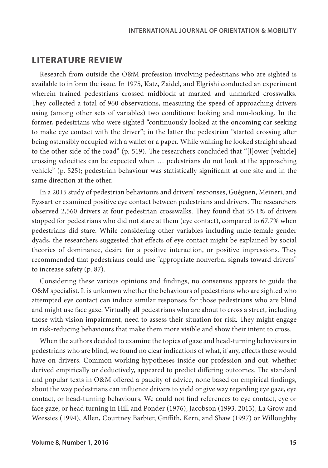## **LITERATURE REVIEW**

Research from outside the O&M profession involving pedestrians who are sighted is available to inform the issue. In 1975, Katz, Zaidel, and Elgrishi conducted an experiment wherein trained pedestrians crossed midblock at marked and unmarked crosswalks. They collected a total of 960 observations, measuring the speed of approaching drivers using (among other sets of variables) two conditions: looking and non-looking. In the former, pedestrians who were sighted "continuously looked at the oncoming car seeking to make eye contact with the driver"; in the latter the pedestrian "started crossing after being ostensibly occupied with a wallet or a paper. While walking he looked straight ahead to the other side of the road" (p. 519). The researchers concluded that "[l]ower [vehicle] crossing velocities can be expected when … pedestrians do not look at the approaching vehicle" (p. 525); pedestrian behaviour was statistically significant at one site and in the same direction at the other.

In a 2015 study of pedestrian behaviours and drivers' responses, Guéguen, Meineri, and Eyssartier examined positive eye contact between pedestrians and drivers. The researchers observed 2,560 drivers at four pedestrian crosswalks. They found that 55.1% of drivers stopped for pedestrians who did not stare at them (eye contact), compared to 67.7% when pedestrians did stare. While considering other variables including male-female gender dyads, the researchers suggested that effects of eye contact might be explained by social theories of dominance, desire for a positive interaction, or positive impressions. They recommended that pedestrians could use "appropriate nonverbal signals toward drivers" to increase safety (p. 87).

Considering these various opinions and findings, no consensus appears to guide the O&M specialist. It is unknown whether the behaviours of pedestrians who are sighted who attempted eye contact can induce similar responses for those pedestrians who are blind and might use face gaze. Virtually all pedestrians who are about to cross a street, including those with vision impairment, need to assess their situation for risk. They might engage in risk-reducing behaviours that make them more visible and show their intent to cross.

When the authors decided to examine the topics of gaze and head-turning behaviours in pedestrians who are blind, we found no clear indications of what, if any, effects these would have on drivers. Common working hypotheses inside our profession and out, whether derived empirically or deductively, appeared to predict differing outcomes. The standard and popular texts in O&M offered a paucity of advice, none based on empirical findings, about the way pedestrians can influence drivers to yield or give way regarding eye gaze, eye contact, or head-turning behaviours. We could not find references to eye contact, eye or face gaze, or head turning in Hill and Ponder (1976), Jacobson (1993, 2013), La Grow and Weessies (1994), Allen, Courtney Barbier, Griffith, Kern, and Shaw (1997) or Willoughby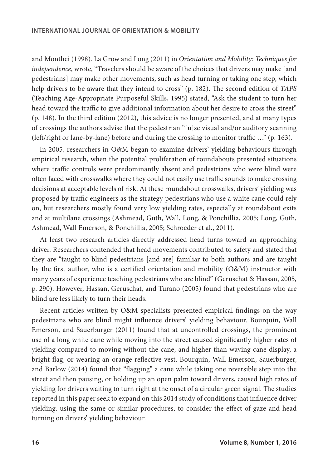and Monthei (1998). La Grow and Long (2011) in *Orientation and Mobility: Techniques for independence*, wrote, "Travelers should be aware of the choices that drivers may make [and pedestrians] may make other movements, such as head turning or taking one step, which help drivers to be aware that they intend to cross" (p. 182). The second edition of *TAPS* (Teaching Age-Appropriate Purposeful Skills, 1995) stated, "Ask the student to turn her head toward the traffic to give additional information about her desire to cross the street" (p. 148). In the third edition (2012), this advice is no longer presented, and at many types of crossings the authors advise that the pedestrian "[u]se visual and/or auditory scanning (left/right or lane-by-lane) before and during the crossing to monitor traffic …" (p. 163).

In 2005, researchers in O&M began to examine drivers' yielding behaviours through empirical research, when the potential proliferation of roundabouts presented situations where traffic controls were predominantly absent and pedestrians who were blind were often faced with crosswalks where they could not easily use traffic sounds to make crossing decisions at acceptable levels of risk. At these roundabout crosswalks, drivers' yielding was proposed by traffic engineers as the strategy pedestrians who use a white cane could rely on, but researchers mostly found very low yielding rates, especially at roundabout exits and at multilane crossings (Ashmead, Guth, Wall, Long, & Ponchillia, 2005; Long, Guth, Ashmead, Wall Emerson, & Ponchillia, 2005; Schroeder et al., 2011).

At least two research articles directly addressed head turns toward an approaching driver. Researchers contended that head movements contributed to safety and stated that they are "taught to blind pedestrians [and are] familiar to both authors and are taught by the first author, who is a certified orientation and mobility (O&M) instructor with many years of experience teaching pedestrians who are blind" (Geruschat & Hassan, 2005, p. 290). However, Hassan, Geruschat, and Turano (2005) found that pedestrians who are blind are less likely to turn their heads.

Recent articles written by O&M specialists presented empirical findings on the way pedestrians who are blind might influence drivers' yielding behaviour. Bourquin, Wall Emerson, and Sauerburger (2011) found that at uncontrolled crossings, the prominent use of a long white cane while moving into the street caused significantly higher rates of yielding compared to moving without the cane, and higher than waving cane display, a bright flag, or wearing an orange reflective vest. Bourquin, Wall Emerson, Sauerburger, and Barlow (2014) found that "flagging" a cane while taking one reversible step into the street and then pausing, or holding up an open palm toward drivers, caused high rates of yielding for drivers waiting to turn right at the onset of a circular green signal. The studies reported in this paper seek to expand on this 2014 study of conditions that influence driver yielding, using the same or similar procedures, to consider the effect of gaze and head turning on drivers' yielding behaviour.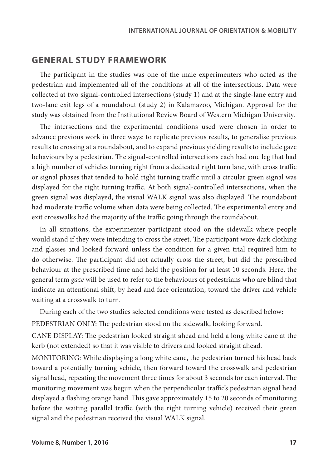## **GENERAL STUDY FRAMEWORK**

The participant in the studies was one of the male experimenters who acted as the pedestrian and implemented all of the conditions at all of the intersections. Data were collected at two signal-controlled intersections (study 1) and at the single-lane entry and two-lane exit legs of a roundabout (study 2) in Kalamazoo, Michigan. Approval for the study was obtained from the Institutional Review Board of Western Michigan University.

The intersections and the experimental conditions used were chosen in order to advance previous work in three ways: to replicate previous results, to generalise previous results to crossing at a roundabout, and to expand previous yielding results to include gaze behaviours by a pedestrian. The signal-controlled intersections each had one leg that had a high number of vehicles turning right from a dedicated right turn lane, with cross traffic or signal phases that tended to hold right turning traffic until a circular green signal was displayed for the right turning traffic. At both signal-controlled intersections, when the green signal was displayed, the visual WALK signal was also displayed. The roundabout had moderate traffic volume when data were being collected. The experimental entry and exit crosswalks had the majority of the traffic going through the roundabout.

In all situations, the experimenter participant stood on the sidewalk where people would stand if they were intending to cross the street. The participant wore dark clothing and glasses and looked forward unless the condition for a given trial required him to do otherwise. The participant did not actually cross the street, but did the prescribed behaviour at the prescribed time and held the position for at least 10 seconds. Here, the general term *gaze* will be used to refer to the behaviours of pedestrians who are blind that indicate an attentional shift, by head and face orientation, toward the driver and vehicle waiting at a crosswalk to turn.

During each of the two studies selected conditions were tested as described below:

PEDESTRIAN ONLY: The pedestrian stood on the sidewalk, looking forward.

CANE DISPLAY: The pedestrian looked straight ahead and held a long white cane at the kerb (not extended) so that it was visible to drivers and looked straight ahead.

MONITORING: While displaying a long white cane, the pedestrian turned his head back toward a potentially turning vehicle, then forward toward the crosswalk and pedestrian signal head, repeating the movement three times for about 3 seconds for each interval. The monitoring movement was begun when the perpendicular traffic's pedestrian signal head displayed a flashing orange hand. This gave approximately 15 to 20 seconds of monitoring before the waiting parallel traffic (with the right turning vehicle) received their green signal and the pedestrian received the visual WALK signal.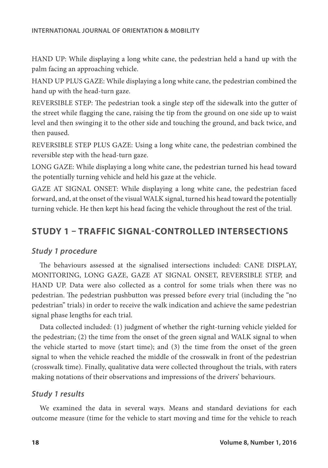HAND UP: While displaying a long white cane, the pedestrian held a hand up with the palm facing an approaching vehicle.

HAND UP PLUS GAZE: While displaying a long white cane, the pedestrian combined the hand up with the head-turn gaze.

REVERSIBLE STEP: The pedestrian took a single step off the sidewalk into the gutter of the street while flagging the cane, raising the tip from the ground on one side up to waist level and then swinging it to the other side and touching the ground, and back twice, and then paused.

REVERSIBLE STEP PLUS GAZE: Using a long white cane, the pedestrian combined the reversible step with the head-turn gaze.

LONG GAZE: While displaying a long white cane, the pedestrian turned his head toward the potentially turning vehicle and held his gaze at the vehicle.

GAZE AT SIGNAL ONSET: While displaying a long white cane, the pedestrian faced forward, and, at the onset of the visual WALK signal, turned his head toward the potentially turning vehicle. He then kept his head facing the vehicle throughout the rest of the trial.

## **STUDY 1 – TRAFFIC SIGNAL-CONTROLLED INTERSECTIONS**

## *Study 1 procedure*

The behaviours assessed at the signalised intersections included: CANE DISPLAY, MONITORING, LONG GAZE, GAZE AT SIGNAL ONSET, REVERSIBLE STEP, and HAND UP. Data were also collected as a control for some trials when there was no pedestrian. The pedestrian pushbutton was pressed before every trial (including the "no pedestrian" trials) in order to receive the walk indication and achieve the same pedestrian signal phase lengths for each trial.

Data collected included: (1) judgment of whether the right-turning vehicle yielded for the pedestrian; (2) the time from the onset of the green signal and WALK signal to when the vehicle started to move (start time); and (3) the time from the onset of the green signal to when the vehicle reached the middle of the crosswalk in front of the pedestrian (crosswalk time). Finally, qualitative data were collected throughout the trials, with raters making notations of their observations and impressions of the drivers' behaviours.

## *Study 1 results*

We examined the data in several ways. Means and standard deviations for each outcome measure (time for the vehicle to start moving and time for the vehicle to reach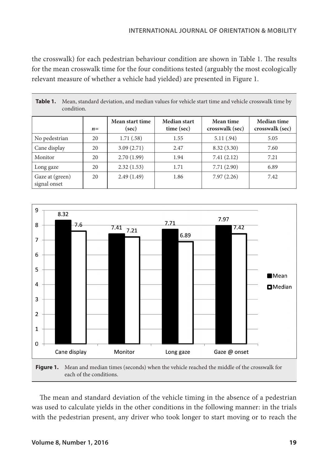the crosswalk) for each pedestrian behaviour condition are shown in Table 1. The results for the mean crosswalk time for the four conditions tested (arguably the most ecologically relevant measure of whether a vehicle had yielded) are presented in Figure 1.

|                                 | $n =$ | Mean start time<br>(sec) | Median start<br>time (sec) | Mean time<br>crosswalk (sec) | Median time<br>crosswalk (sec) |
|---------------------------------|-------|--------------------------|----------------------------|------------------------------|--------------------------------|
| No pedestrian                   | 20    | 1.71(.58)                | 1.55                       | 5.11(.94)                    | 5.05                           |
| Cane display                    | 20    | 3.09(2.71)               | 2.47                       | 8.32(3.30)                   | 7.60                           |
| Monitor                         | 20    | 2.70(1.99)               | 1.94                       | 7.41(2.12)                   | 7.21                           |
| Long gaze                       | 20    | 2.32(1.53)               | 1.71                       | 7.71(2.90)                   | 6.89                           |
| Gaze at (green)<br>signal onset | 20    | 2.49(1.49)               | 1.86                       | 7.97(2.26)                   | 7.42                           |

**Table 1.** Mean, standard deviation, and median values for vehicle start time and vehicle crosswalk time by condition.





The mean and standard deviation of the vehicle timing in the absence of a pedestrian was used to calculate yields in the other conditions in the following manner: in the trials with the pedestrian present, any driver who took longer to start moving or to reach the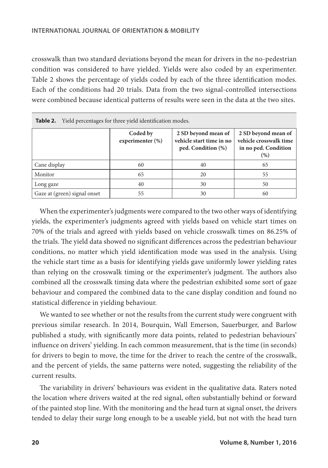crosswalk than two standard deviations beyond the mean for drivers in the no-pedestrian condition was considered to have yielded. Yields were also coded by an experimenter. Table 2 shows the percentage of yields coded by each of the three identification modes. Each of the conditions had 20 trials. Data from the two signal-controlled intersections were combined because identical patterns of results were seen in the data at the two sites.

| <b>Table 2.</b> Yield percentages for three yield identification modes. |                                 |                                                                       |                                                                               |  |  |
|-------------------------------------------------------------------------|---------------------------------|-----------------------------------------------------------------------|-------------------------------------------------------------------------------|--|--|
|                                                                         | Coded by<br>experimenter $(\%)$ | 2 SD beyond mean of<br>vehicle start time in no<br>ped. Condition (%) | 2 SD beyond mean of<br>vehicle crosswalk time<br>in no ped. Condition<br>(% ) |  |  |
| Cane display                                                            | 60                              | 40                                                                    | 65                                                                            |  |  |
| Monitor                                                                 | 65                              | 20                                                                    | 55                                                                            |  |  |
| Long gaze                                                               | 40                              | 30                                                                    | 50                                                                            |  |  |
| Gaze at (green) signal onset                                            | 55                              | 30                                                                    | 60                                                                            |  |  |

When the experimenter's judgments were compared to the two other ways of identifying yields, the experimenter's judgments agreed with yields based on vehicle start times on 70% of the trials and agreed with yields based on vehicle crosswalk times on 86.25% of the trials. The yield data showed no significant differences across the pedestrian behaviour conditions, no matter which yield identification mode was used in the analysis. Using the vehicle start time as a basis for identifying yields gave uniformly lower yielding rates than relying on the crosswalk timing or the experimenter's judgment. The authors also combined all the crosswalk timing data where the pedestrian exhibited some sort of gaze behaviour and compared the combined data to the cane display condition and found no statistical difference in yielding behaviour.

We wanted to see whether or not the results from the current study were congruent with previous similar research. In 2014, Bourquin, Wall Emerson, Sauerburger, and Barlow published a study, with significantly more data points, related to pedestrian behaviours' influence on drivers' yielding. In each common measurement, that is the time (in seconds) for drivers to begin to move, the time for the driver to reach the centre of the crosswalk, and the percent of yields, the same patterns were noted, suggesting the reliability of the current results.

The variability in drivers' behaviours was evident in the qualitative data. Raters noted the location where drivers waited at the red signal, often substantially behind or forward of the painted stop line. With the monitoring and the head turn at signal onset, the drivers tended to delay their surge long enough to be a useable yield, but not with the head turn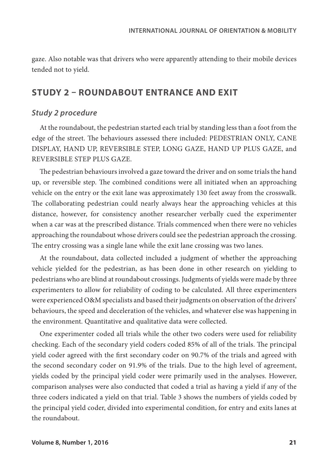gaze. Also notable was that drivers who were apparently attending to their mobile devices tended not to yield.

## **STUDY 2 – ROUNDABOUT ENTRANCE AND EXIT**

#### *Study 2 procedure*

At the roundabout, the pedestrian started each trial by standing less than a foot from the edge of the street. The behaviours assessed there included: PEDESTRIAN ONLY, CANE DISPLAY, HAND UP, REVERSIBLE STEP, LONG GAZE, HAND UP PLUS GAZE, and REVERSIBLE STEP PLUS GAZE.

The pedestrian behaviours involved a gaze toward the driver and on some trials the hand up, or reversible step. The combined conditions were all initiated when an approaching vehicle on the entry or the exit lane was approximately 130 feet away from the crosswalk. The collaborating pedestrian could nearly always hear the approaching vehicles at this distance, however, for consistency another researcher verbally cued the experimenter when a car was at the prescribed distance. Trials commenced when there were no vehicles approaching the roundabout whose drivers could see the pedestrian approach the crossing. The entry crossing was a single lane while the exit lane crossing was two lanes.

At the roundabout, data collected included a judgment of whether the approaching vehicle yielded for the pedestrian, as has been done in other research on yielding to pedestrians who are blind at roundabout crossings. Judgments of yields were made by three experimenters to allow for reliability of coding to be calculated. All three experimenters were experienced O&M specialists and based their judgments on observation of the drivers' behaviours, the speed and deceleration of the vehicles, and whatever else was happening in the environment. Quantitative and qualitative data were collected.

One experimenter coded all trials while the other two coders were used for reliability checking. Each of the secondary yield coders coded 85% of all of the trials. The principal yield coder agreed with the first secondary coder on 90.7% of the trials and agreed with the second secondary coder on 91.9% of the trials. Due to the high level of agreement, yields coded by the principal yield coder were primarily used in the analyses. However, comparison analyses were also conducted that coded a trial as having a yield if any of the three coders indicated a yield on that trial. Table 3 shows the numbers of yields coded by the principal yield coder, divided into experimental condition, for entry and exits lanes at the roundabout.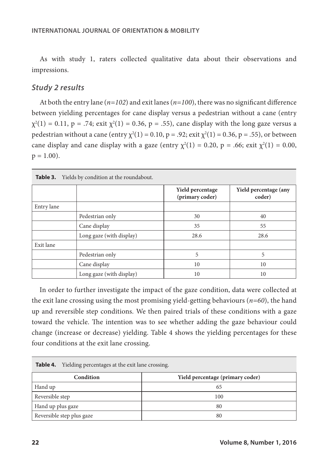As with study 1, raters collected qualitative data about their observations and impressions.

#### *Study 2 results*

At both the entry lane (*n=102*) and exit lanes (*n=100*), there was no significant difference between yielding percentages for cane display versus a pedestrian without a cane (entry  $\chi^2(1) = 0.11$ , p = .74; exit  $\chi^2(1) = 0.36$ , p = .55), cane display with the long gaze versus a pedestrian without a cane (entry  $\chi^2(1) = 0.10$ , p = .92; exit  $\chi^2(1) = 0.36$ , p = .55), or between cane display and cane display with a gaze (entry  $\chi^2(1) = 0.20$ , p = .66; exit  $\chi^2(1) = 0.00$ ,  $p = 1.00$ ).

| <b>Table 3.</b> Yields by condition at the roundabout. |                          |                                     |                                 |  |  |
|--------------------------------------------------------|--------------------------|-------------------------------------|---------------------------------|--|--|
|                                                        |                          | Yield percentage<br>(primary coder) | Yield percentage (any<br>coder) |  |  |
| Entry lane                                             |                          |                                     |                                 |  |  |
|                                                        | Pedestrian only          | 30                                  | 40                              |  |  |
|                                                        | Cane display             | 35                                  | 55                              |  |  |
|                                                        | Long gaze (with display) | 28.6                                | 28.6                            |  |  |
| Exit lane                                              |                          |                                     |                                 |  |  |
|                                                        | Pedestrian only          | 5                                   | 5                               |  |  |
|                                                        | Cane display             | 10                                  | 10                              |  |  |
|                                                        | Long gaze (with display) | 10                                  | 10                              |  |  |

In order to further investigate the impact of the gaze condition, data were collected at the exit lane crossing using the most promising yield-getting behaviours (*n=60*), the hand up and reversible step conditions. We then paired trials of these conditions with a gaze toward the vehicle. The intention was to see whether adding the gaze behaviour could change (increase or decrease) yielding. Table 4 shows the yielding percentages for these

| Table 4.<br>Yielding percentages at the exit lane crossing. |                                  |  |  |  |
|-------------------------------------------------------------|----------------------------------|--|--|--|
| Condition                                                   | Yield percentage (primary coder) |  |  |  |
| Hand up                                                     | 65                               |  |  |  |
| Reversible step                                             | 100                              |  |  |  |
| Hand up plus gaze                                           | 80                               |  |  |  |
| Reversible step plus gaze                                   | 80                               |  |  |  |

four conditions at the exit lane crossing.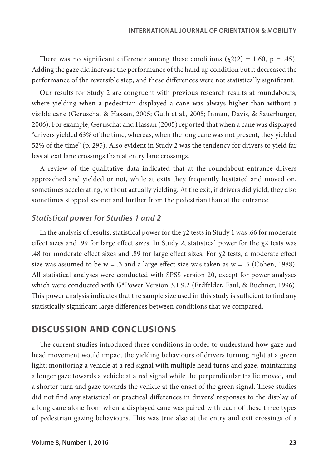There was no significant difference among these conditions  $(\chi_2(2) = 1.60, p = .45)$ . Adding the gaze did increase the performance of the hand up condition but it decreased the performance of the reversible step, and these differences were not statistically significant.

Our results for Study 2 are congruent with previous research results at roundabouts, where yielding when a pedestrian displayed a cane was always higher than without a visible cane (Geruschat & Hassan, 2005; Guth et al., 2005; Inman, Davis, & Sauerburger, 2006). For example, Geruschat and Hassan (2005) reported that when a cane was displayed "drivers yielded 63% of the time, whereas, when the long cane was not present, they yielded 52% of the time" (p. 295). Also evident in Study 2 was the tendency for drivers to yield far less at exit lane crossings than at entry lane crossings.

A review of the qualitative data indicated that at the roundabout entrance drivers approached and yielded or not, while at exits they frequently hesitated and moved on, sometimes accelerating, without actually yielding. At the exit, if drivers did yield, they also sometimes stopped sooner and further from the pedestrian than at the entrance.

#### *Statistical power for Studies 1 and 2*

In the analysis of results, statistical power for the χ2 tests in Study 1 was .66 for moderate effect sizes and .99 for large effect sizes. In Study 2, statistical power for the  $\chi$ 2 tests was .48 for moderate effect sizes and .89 for large effect sizes. For  $\chi$ 2 tests, a moderate effect size was assumed to be  $w = .3$  and a large effect size was taken as  $w = .5$  (Cohen, 1988). All statistical analyses were conducted with SPSS version 20, except for power analyses which were conducted with G\*Power Version 3.1.9.2 (Erdfelder, Faul, & Buchner, 1996). This power analysis indicates that the sample size used in this study is sufficient to find any statistically significant large differences between conditions that we compared.

## **DISCUSSION AND CONCLUSIONS**

The current studies introduced three conditions in order to understand how gaze and head movement would impact the yielding behaviours of drivers turning right at a green light: monitoring a vehicle at a red signal with multiple head turns and gaze, maintaining a longer gaze towards a vehicle at a red signal while the perpendicular traffic moved, and a shorter turn and gaze towards the vehicle at the onset of the green signal. These studies did not find any statistical or practical differences in drivers' responses to the display of a long cane alone from when a displayed cane was paired with each of these three types of pedestrian gazing behaviours. This was true also at the entry and exit crossings of a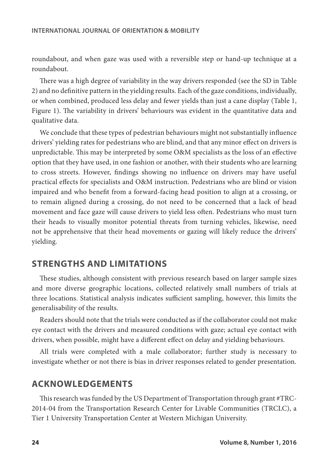roundabout, and when gaze was used with a reversible step or hand-up technique at a roundabout.

There was a high degree of variability in the way drivers responded (see the SD in Table 2) and no definitive pattern in the yielding results. Each of the gaze conditions, individually, or when combined, produced less delay and fewer yields than just a cane display (Table 1, Figure 1). The variability in drivers' behaviours was evident in the quantitative data and qualitative data.

We conclude that these types of pedestrian behaviours might not substantially influence drivers' yielding rates for pedestrians who are blind, and that any minor effect on drivers is unpredictable. This may be interpreted by some O&M specialists as the loss of an effective option that they have used, in one fashion or another, with their students who are learning to cross streets. However, findings showing no influence on drivers may have useful practical effects for specialists and O&M instruction. Pedestrians who are blind or vision impaired and who benefit from a forward-facing head position to align at a crossing, or to remain aligned during a crossing, do not need to be concerned that a lack of head movement and face gaze will cause drivers to yield less often. Pedestrians who must turn their heads to visually monitor potential threats from turning vehicles, likewise, need not be apprehensive that their head movements or gazing will likely reduce the drivers' yielding.

## **STRENGTHS AND LIMITATIONS**

These studies, although consistent with previous research based on larger sample sizes and more diverse geographic locations, collected relatively small numbers of trials at three locations. Statistical analysis indicates sufficient sampling, however, this limits the generalisability of the results.

Readers should note that the trials were conducted as if the collaborator could not make eye contact with the drivers and measured conditions with gaze; actual eye contact with drivers, when possible, might have a different effect on delay and yielding behaviours.

All trials were completed with a male collaborator; further study is necessary to investigate whether or not there is bias in driver responses related to gender presentation.

## **ACKNOWLEDGEMENTS**

This research was funded by the US Department of Transportation through grant #TRC-2014-04 from the Transportation Research Center for Livable Communities (TRCLC), a Tier 1 University Transportation Center at Western Michigan University.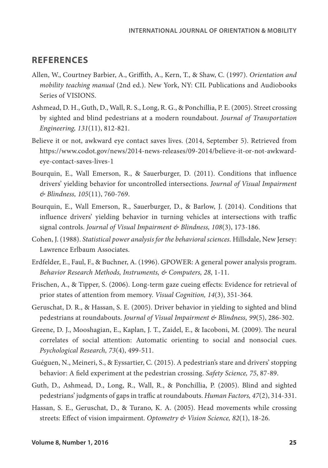## **REFERENCES**

- Allen, W., Courtney Barbier, A., Griffith, A., Kern, T., & Shaw, C. (1997). *Orientation and mobility teaching manual* (2nd ed.). New York, NY: CIL Publications and Audiobooks Series of VISIONS.
- Ashmead, D. H., Guth, D., Wall, R. S., Long, R. G., & Ponchillia, P. E. (2005). Street crossing by sighted and blind pedestrians at a modern roundabout. *Journal of Transportation Engineering, 131*(11), 812-821.
- Believe it or not, awkward eye contact saves lives. (2014, September 5). Retrieved from https://www.codot.gov/news/2014-news-releases/09-2014/believe-it-or-not-awkwardeye-contact-saves-lives-1
- Bourquin, E., Wall Emerson, R., & Sauerburger, D. (2011). Conditions that influence drivers' yielding behavior for uncontrolled intersections. *Journal of Visual Impairment & Blindness, 105*(11), 760-769.
- Bourquin, E., Wall Emerson, R., Sauerburger, D., & Barlow, J. (2014). Conditions that influence drivers' yielding behavior in turning vehicles at intersections with traffic signal controls. *Journal of Visual Impairment & Blindness, 108*(3), 173-186.
- Cohen, J. (1988). *Statistical power analysis for the behavioral sciences.* Hillsdale, New Jersey: Lawrence Erlbaum Associates.
- Erdfelder, E., Faul, F., & Buchner, A. (1996). GPOWER: A general power analysis program. *Behavior Research Methods, Instruments, & Computers, 28*, 1-11.
- Frischen, A., & Tipper, S. (2006). Long-term gaze cueing effects: Evidence for retrieval of prior states of attention from memory. *Visual Cognition, 14*(3), 351-364.
- Geruschat, D. R., & Hassan, S. E. (2005). Driver behavior in yielding to sighted and blind pedestrians at roundabouts. *Journal of Visual Impairment & Blindness, 99*(5), 286-302.
- Greene, D. J., Mooshagian, E., Kaplan, J. T., Zaidel, E., & Iacoboni, M. (2009). The neural correlates of social attention: Automatic orienting to social and nonsocial cues. *Psychological Research, 73*(4), 499-511.
- Guéguen, N., Meineri, S., & Eyssartier, C. (2015). A pedestrian's stare and drivers' stopping behavior: A field experiment at the pedestrian crossing. *Safety Science, 75*, 87-89.
- Guth, D., Ashmead, D., Long, R., Wall, R., & Ponchillia, P. (2005). Blind and sighted pedestrians' judgments of gaps in traffic at roundabouts. *Human Factors, 47*(2), 314-331.
- Hassan, S. E., Geruschat, D., & Turano, K. A. (2005). Head movements while crossing streets: Effect of vision impairment. *Optometry & Vision Science, 82*(1), 18-26.